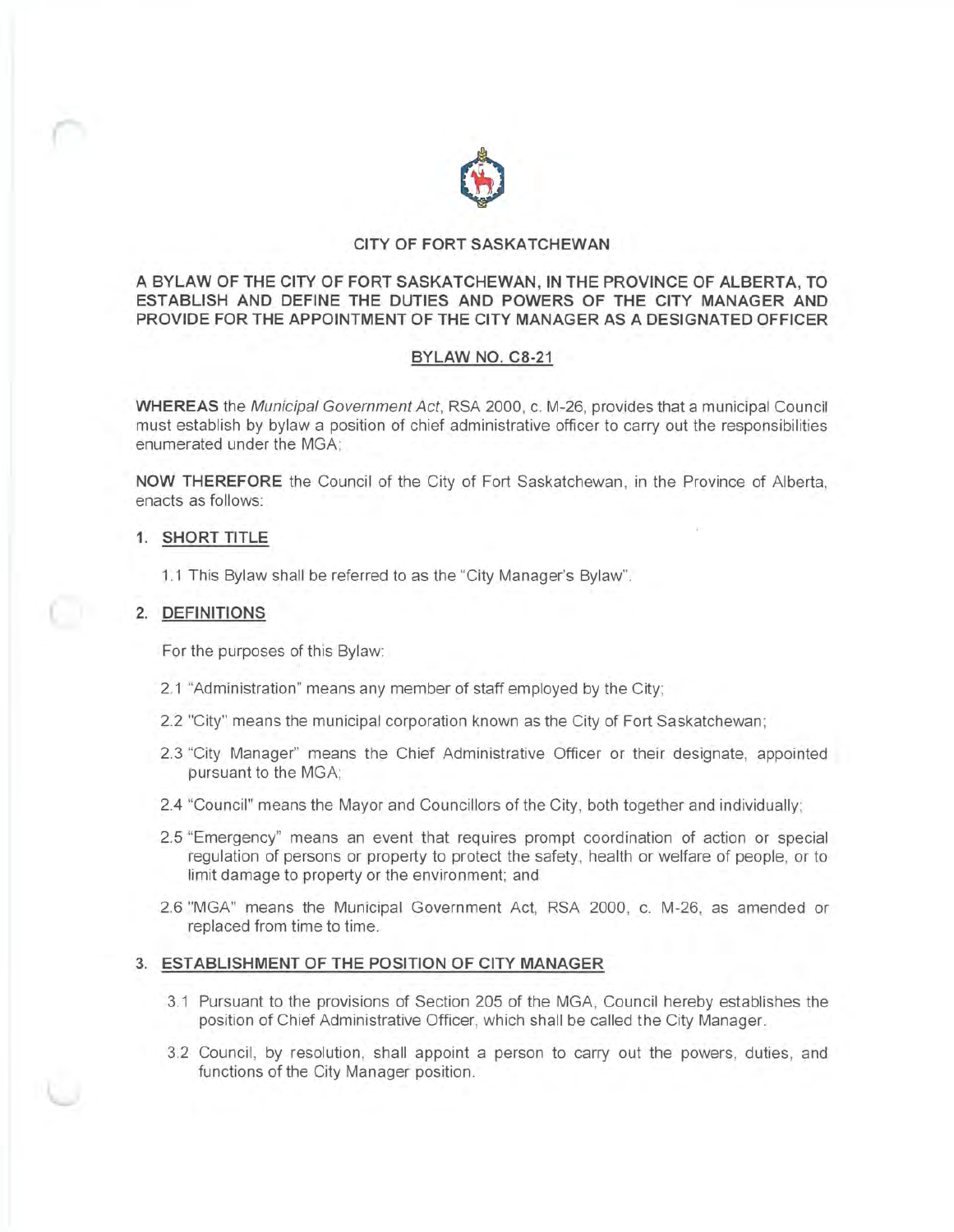

# **CITY OF FORT SASKATCHEWAN**

**A BYLAW OF THE CITY OF FORT SASKATCHEWAN, IN THE PROVINCE OF ALBERTA, TO ESTABLISH AND DEFINE THE DUTIES AND POWERS OF THE CITY MANAGER AND PROVIDE FOR THE APPOINTMENT OF THE CITY MANAGER AS A DESIGNATED OFFICER** 

# **BYLAW NO. C8-21**

**WHEREAS** the Municipal Government Act, RSA 2000, c. M-26, provides that a municipal Council must establish by bylaw a position of chief administrative officer to carry out the responsibilities enumerated under the MGA;

**NOW THEREFORE** the Council of the City of Fort Saskatchewan , in the Province of Alberta , enacts as follows:

# **1. SHORT TITLE**

1.1 This Bylaw shall be referred to as the "City Manager's Bylaw".

# **2. DEFINITIONS**

For the purposes of this Bylaw:

- 2.1 "Administration" means any member of staff employed by the City;
- 2.2 "City" means the municipal corporation known as the City of Fort Saskatchewan;
- 2.3 "City Manager" means the Chief Administrative Officer or their designate, appointed pursuant to the MGA;
- 2.4 "Council" means the Mayor and Councillors of the City, both together and individually;
- 2.5 "Emergency" means an event that requires prompt coordination of action or special regulation of persons or property to protect the safety, health or welfare of people, or to limit damage to property or the environment; and
- 2.6 "MGA" means the Municipal Government Act, RSA 2000, c. M-26, as amended or replaced from time to time.

# **3. ESTABLISHMENT OF THE POSITION OF CITY MANAGER**

- 3.1 Pursuant to the provisions of Section 205 of the MGA, Council hereby establishes the position of Chief Administrative Officer, which shall be called the City Manager.
- 3.2 Council, by resolution, shall appoint a person to carry out the powers, duties, and functions of the City Manager position.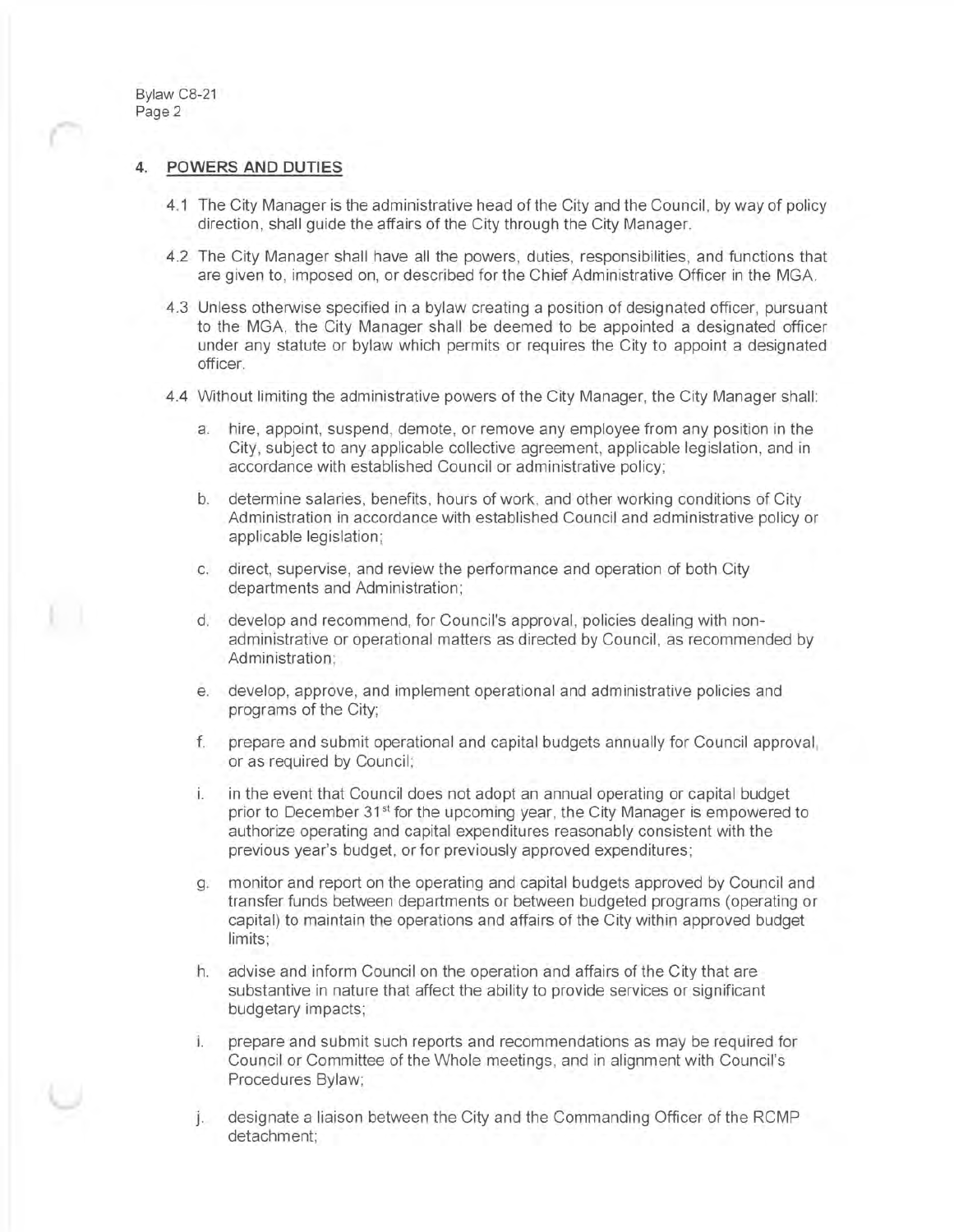Bylaw C8-21 Page 2

# **4. POWERS AND DUTIES**

- 4.1 The City Manager is the administrative head of the City and the Council, by way of policy direction, shall guide the affairs of the City through the City Manager.
- 4.2 The City Manager shall have all the powers, duties, responsibilities, and functions that are given to, imposed on, or described for the Chief Administrative Officer in the MGA.
- 4.3 Unless otherwise specified in a bylaw creating a position of designated officer, pursuant to the MGA, the City Manager shall be deemed to be appointed a designated officer under any statute or bylaw which permits or requires the City to appoint a designated officer.
- 4.4 Without limiting the administrative powers of the City Manager, the City Manager shall:
	- a. hire, appoint, suspend, demote, or remove any employee from any position in the City, subject to any applicable collective agreement, applicable legislation , and in accordance with established Council or administrative policy;
	- b. determine salaries, benefits, hours of work, and other working conditions of City Administration in accordance with established Council and administrative policy or applicable legislation;
	- c. direct, supervise, and review the performance and operation of both City departments and Administration;
	- d. develop and recommend, for Council's approval, policies dealing with nonadministrative or operational matters as directed by Council, as recommended by Administration:
	- e. develop, approve, and implement operational and administrative policies and programs of the City;
	- f. prepare and submit operational and capital budgets annually for Council approval, or as required by Council;
	- i. in the event that Council does not adopt an annual operating or capital budget prior to December 31<sup>st</sup> for the upcoming year, the City Manager is empowered to authorize operating and capital expenditures reasonably consistent with the previous year's budget, or for previously approved expenditures;
	- g. monitor and report on the operating and capital budgets approved by Council and transfer funds between departments or between budgeted programs (operating or capital) to maintain the operations and affairs of the City within approved budget limits;
	- h. advise and inform Council on the operation and affairs of the City that are substantive in nature that affect the ability to provide services or significant budgetary impacts;
	- i. prepare and submit such reports and recommendations as may be required for Council or Committee of the Whole meetings, and in alignment with Council 's Procedures Bylaw;
	- J. designate a liaison between the City and the Commanding Officer of the RCMP detachment;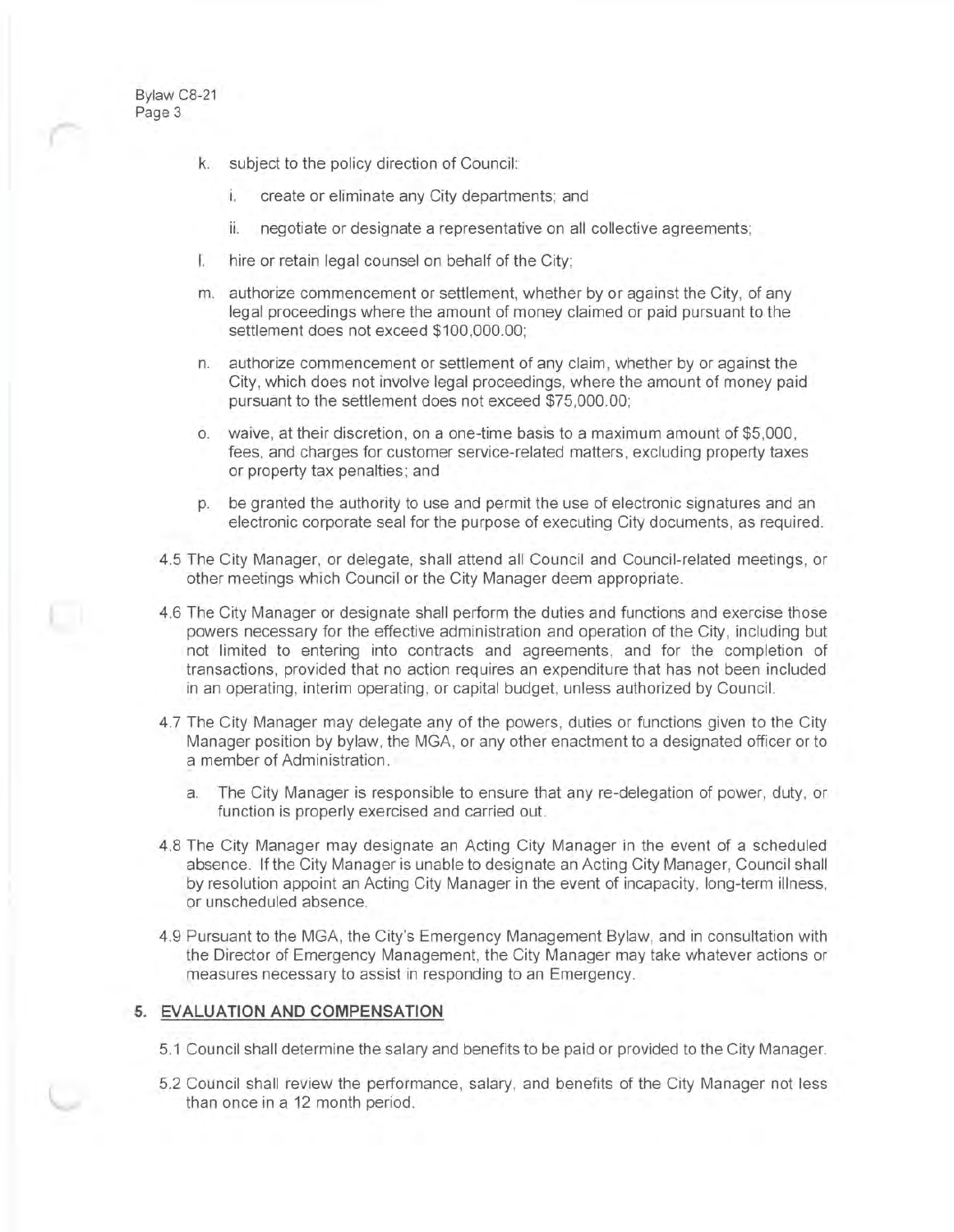Bylaw C8-21 Page 3

- k. subject to the policy direction of Council:
	- i. create or eliminate any City departments; and
	- ii. negotiate or designate a representative on all collective agreements;
- I. hire or retain legal counsel on behalf of the City;
- m. authorize commencement or settlement, whether by or against the City, of any legal proceedings where the amount of money claimed or paid pursuant to the settlement does not exceed \$100,000.00;
- n. authorize commencement or settlement of any claim , whether by or against the City, which does not involve legal proceedings, where the amount of money paid pursuant to the settlement does not exceed \$75,000.00;
- o. waive, at their discretion, on a one-time basis to a maximum amount of \$5,000 , fees, and charges for customer service-related matters, excluding property taxes or property tax penalties ; and
- p. be granted the authority to use and permit the use of electronic signatures and an electronic corporate seal for the purpose of executing City documents, as required.
- 4.5 The City Manager, or delegate, shall attend all Council and Council-related meetings, or other meetings which Council or the City Manager deem appropriate.
- 4.6 The City Manager or designate shall perform the duties and functions and exercise those powers necessary for the effective administration and operation of the City , including but not limited to entering into contracts and agreements, and for the completion of transactions, provided that no action requires an expenditure that has not been included in an operating , interim operating , or capital budget, unless authorized by Council.
- 4.7 The City Manager may delegate any of the powers, duties or functions given to the City Manager position by bylaw, the MGA, or any other enactment to a designated officer or to a member of Administration.
	- a. The City Manager is responsible to ensure that any re-delegation of power, duty, or function is properly exercised and carried out.
- 4.8 The City Manager may designate an Acting City Manager in the event of a scheduled absence. If the City Manager is unable to designate an Acting City Manager, Council shall by resolution appoint an Acting City Manager in the event of incapacity, long-term illness, or unscheduled absence.
- 4.9 Pursuant to the MGA, the City's Emergency Management Bylaw, and in consultation with the Director of Emergency Management, the City Manager may take whatever actions or measures necessary to assist in responding to an Emergency.

# **5. EVALUATION AND COMPENSATION**

- 5.1 Council shall determine the salary and benefits to be paid or provided to the City Manager.
- 5.2 Council shall review the performance, salary, and benefits of the City Manager not less than once in a 12 month period.